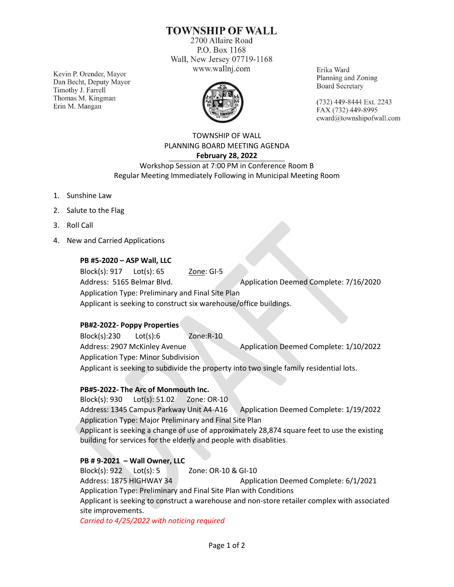# **TOWNSHIP OF WALL**

2700 Allaire Road P.O. Box 1168 Wall, New Jersey 07719-1168 www.wallnj.com

Kevin P. Orender, Mayor Dan Becht, Deputy Mayor Timothy J. Farrell Thomas M. Kingman Erin M. Mangan



Erika Ward Planning and Zoning **Board Secretary** 

(732) 449-8444 Ext. 2243 FAX (732) 449-8995 eward@townshipofwall.com

TOWNSHIP OF WALL PLANNING BOARD MEETING AGENDA **February 28, 2022**

Workshop Session at 7:00 PM in Conference Room B Regular Meeting Immediately Following in Municipal Meeting Room

- 1. Sunshine Law
- 2. Salute to the Flag
- 3. Roll Call
- 4. New and Carried Applications

### **PB #5-2020 – ASP Wall, LLC**

Block(s): 917 Lot(s): 65 Zone: GI-5 Address: 5165 Belmar Blvd. Application Deemed Complete: 7/16/2020 Application Type: Preliminary and Final Site Plan Applicant is seeking to construct six warehouse/office buildings.

#### **PB#2-2022- Poppy Properties**

Block(s):230 Lot(s):6 Zone:R-10 Address: 2907 McKinley Avenue Application Deemed Complete: 1/10/2022 Application Type: Minor Subdivision Applicant is seeking to subdivide the property into two single family residential lots.

#### **PB#5-2022- The Arc of Monmouth Inc.**

Block(s): 930 Lot(s): 51.02 Zone: OR-10 Address: 1345 Campus Parkway Unit A4-A16 Application Deemed Complete: 1/19/2022 Application Type: Major Preliminary and Final Site Plan Applicant is seeking a change of use of approximately 28,874 square feet to use the existing building for services for the elderly and people with disablities.

### **PB # 9-2021 – Wall Owner, LLC**

Block(s): 922 Lot(s): 5 Zone: OR-10 & GI-10 Address: 1875 HIGHWAY 34 Application Deemed Complete: 6/1/2021 Application Type: Preliminary and Final Site Plan with Conditions Applicant is seeking to construct a warehouse and non-store retailer complex with associated site improvements.

*Carried to 4/25/2022 with noticing required*